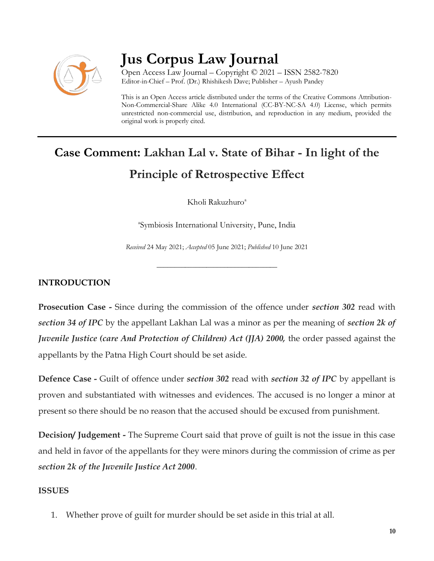

## **Jus Corpus Law Journal**

Open Access Law Journal – Copyright © 2021 – ISSN 2582-7820 Editor-in-Chief – Prof. (Dr.) Rhishikesh Dave; Publisher – Ayush Pandey

This is an Open Access article distributed under the terms of the Creative Commons Attribution-Non-Commercial-Share Alike 4.0 International (CC-BY-NC-SA 4.0) License, which permits unrestricted non-commercial use, distribution, and reproduction in any medium, provided the original work is properly cited.

# **Case Comment: Lakhan Lal v. State of Bihar - In light of the Principle of Retrospective Effect**

Kholi Rakuzhuro<sup>a</sup>

a Symbiosis International University, Pune, India

*Received* 24 May 2021; *Accepted* 05 June 2021; *Published* 10 June 2021

\_\_\_\_\_\_\_\_\_\_\_\_\_\_\_\_\_\_\_\_\_\_\_\_\_\_\_\_\_\_\_\_\_\_

### **INTRODUCTION**

**Prosecution Case -** Since during the commission of the offence under *section 302* read with *section 34 of IPC* by the appellant Lakhan Lal was a minor as per the meaning of *section 2k of Juvenile Justice (care And Protection of Children) Act (JJA) 2000,* the order passed against the appellants by the Patna High Court should be set aside.

**Defence Case -** Guilt of offence under *section 302* read with *section 32 of IPC* by appellant is proven and substantiated with witnesses and evidences. The accused is no longer a minor at present so there should be no reason that the accused should be excused from punishment.

**Decision/ Judgement -** The Supreme Court said that prove of guilt is not the issue in this case and held in favor of the appellants for they were minors during the commission of crime as per *section 2k of the Juvenile Justice Act 2000*.

### **ISSUES**

1. Whether prove of guilt for murder should be set aside in this trial at all.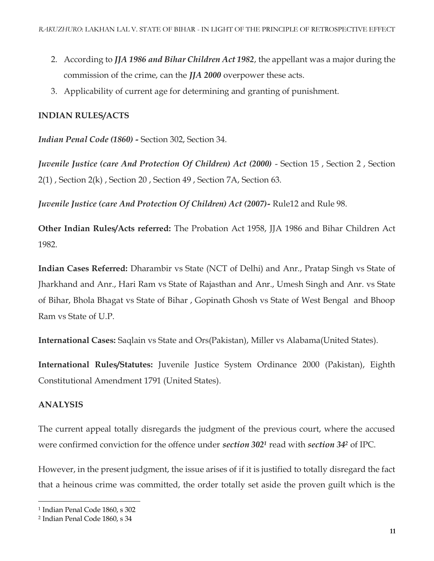- 2. According to *JJA 1986 and Bihar Children Act 1982*, the appellant was a major during the commission of the crime, can the *JJA 2000* overpower these acts.
- 3. Applicability of current age for determining and granting of punishment.

### **INDIAN RULES/ACTS**

*Indian Penal Code (1860) -* Section 302, Section 34.

*Juvenile Justice (care And Protection Of Children) Act (2000)* - Section 15 , Section 2 , Section 2(1) , Section 2(k) , Section 20 , Section 49 , Section 7A, Section 63.

*Juvenile Justice (care And Protection Of Children) Act (2007)-* Rule12 and Rule 98.

**Other Indian Rules/Acts referred:** The Probation Act 1958, JJA 1986 and Bihar Children Act 1982.

**Indian Cases Referred:** Dharambir vs State (NCT of Delhi) and Anr., Pratap Singh vs State of Jharkhand and Anr., Hari Ram vs State of Rajasthan and Anr., Umesh Singh and Anr. vs State of Bihar, Bhola Bhagat vs State of Bihar , Gopinath Ghosh vs State of West Bengal and Bhoop Ram vs State of U.P.

**International Cases:** Saqlain vs State and Ors(Pakistan), Miller vs Alabama(United States).

**International Rules/Statutes:** Juvenile Justice System Ordinance 2000 (Pakistan), Eighth Constitutional Amendment 1791 (United States).

#### **ANALYSIS**

 $\overline{\phantom{a}}$ 

The current appeal totally disregards the judgment of the previous court, where the accused were confirmed conviction for the offence under *section 302<sup>1</sup>* read with *section 34<sup>2</sup>* of IPC.

However, in the present judgment, the issue arises of if it is justified to totally disregard the fact that a heinous crime was committed, the order totally set aside the proven guilt which is the

<sup>1</sup> Indian Penal Code 1860, s 302

<sup>2</sup> Indian Penal Code 1860, s 34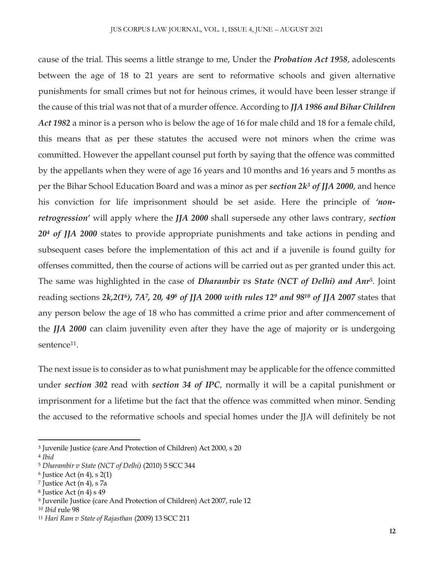cause of the trial. This seems a little strange to me, Under the *Probation Act 1958*, adolescents between the age of 18 to 21 years are sent to reformative schools and given alternative punishments for small crimes but not for heinous crimes, it would have been lesser strange if the cause of this trial was not that of a murder offence. According to *JJA 1986 and Bihar Children Act 1982* a minor is a person who is below the age of 16 for male child and 18 for a female child, this means that as per these statutes the accused were not minors when the crime was committed. However the appellant counsel put forth by saying that the offence was committed by the appellants when they were of age 16 years and 10 months and 16 years and 5 months as per the Bihar School Education Board and was a minor as per *section 2k<sup>3</sup> of JJA 2000*, and hence his conviction for life imprisonment should be set aside. Here the principle of *'nonretrogression'* will apply where the *JJA 2000* shall supersede any other laws contrary, *section 20<sup>4</sup> of JJA 2000* states to provide appropriate punishments and take actions in pending and subsequent cases before the implementation of this act and if a juvenile is found guilty for offenses committed, then the course of actions will be carried out as per granted under this act. The same was highlighted in the case of *Dharambir vs State (NCT of Delhi) and Anr<sup>5</sup>* . Joint reading sections *2k,2(1<sup>6</sup> ), 7A<sup>7</sup> , 20, 49<sup>8</sup> of JJA 2000 with rules 12<sup>9</sup> and 98<sup>10</sup> of JJA 2007* states that any person below the age of 18 who has committed a crime prior and after commencement of the *JJA 2000* can claim juvenility even after they have the age of majority or is undergoing sentence<sup>11</sup>.

The next issue is to consider as to what punishment may be applicable for the offence committed under *section 302* read with *section 34 of IPC*, normally it will be a capital punishment or imprisonment for a lifetime but the fact that the offence was committed when minor. Sending the accused to the reformative schools and special homes under the JJA will definitely be not

 $\overline{\phantom{a}}$ 

<sup>3</sup> Juvenile Justice (care And Protection of Children) Act 2000, s 20

<sup>4</sup> *Ibid*

<sup>5</sup> *Dharambir v State (NCT of Delhi)* (2010) 5 SCC 344

 $6$  Justice Act (n 4), s 2(1)

<sup>7</sup> Justice Act (n 4), s 7a

<sup>8</sup> Justice Act (n 4) s 49

<sup>9</sup> Juvenile Justice (care And Protection of Children) Act 2007, rule 12

<sup>10</sup> *Ibid* rule 98

<sup>11</sup> *Hari Ram v State of Rajasthan* (2009) 13 SCC 211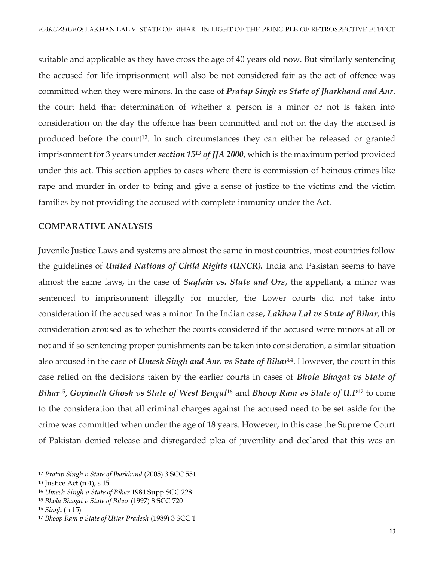suitable and applicable as they have cross the age of 40 years old now. But similarly sentencing the accused for life imprisonment will also be not considered fair as the act of offence was committed when they were minors. In the case of *Pratap Singh vs State of Jharkhand and Anr*, the court held that determination of whether a person is a minor or not is taken into consideration on the day the offence has been committed and not on the day the accused is produced before the court<sup>12</sup>. In such circumstances they can either be released or granted imprisonment for 3 years under *section 15<sup>13</sup> of JJA 2000*, which is the maximum period provided under this act. This section applies to cases where there is commission of heinous crimes like rape and murder in order to bring and give a sense of justice to the victims and the victim families by not providing the accused with complete immunity under the Act.

#### **COMPARATIVE ANALYSIS**

Juvenile Justice Laws and systems are almost the same in most countries, most countries follow the guidelines of *United Nations of Child Rights (UNCR).* India and Pakistan seems to have almost the same laws, in the case of *Saqlain vs. State and Ors*, the appellant, a minor was sentenced to imprisonment illegally for murder, the Lower courts did not take into consideration if the accused was a minor. In the Indian case, *Lakhan Lal vs State of Bihar*, this consideration aroused as to whether the courts considered if the accused were minors at all or not and if so sentencing proper punishments can be taken into consideration, a similar situation also aroused in the case of *Umesh Singh and Anr. vs State of Bihar*14. However, the court in this case relied on the decisions taken by the earlier courts in cases of *Bhola Bhagat vs State of Bihar*<sup>15</sup> , *Gopinath Ghosh vs State of West Bengal*<sup>16</sup> and *Bhoop Ram vs State of U.P*<sup>17</sup> to come to the consideration that all criminal charges against the accused need to be set aside for the crime was committed when under the age of 18 years. However, in this case the Supreme Court of Pakistan denied release and disregarded plea of juvenility and declared that this was an

 $\overline{a}$ 

<sup>12</sup> *Pratap Singh v State of Jharkhand* (2005) 3 SCC 551

<sup>13</sup> Justice Act (n 4), s 15

<sup>14</sup> *Umesh Singh v State of Bihar* 1984 Supp SCC 228

<sup>15</sup> *Bhola Bhagat v State of Bihar* (1997) 8 SCC 720

<sup>16</sup> *Singh* (n 15)

<sup>17</sup> *Bhoop Ram v State of Uttar Pradesh* (1989) 3 SCC 1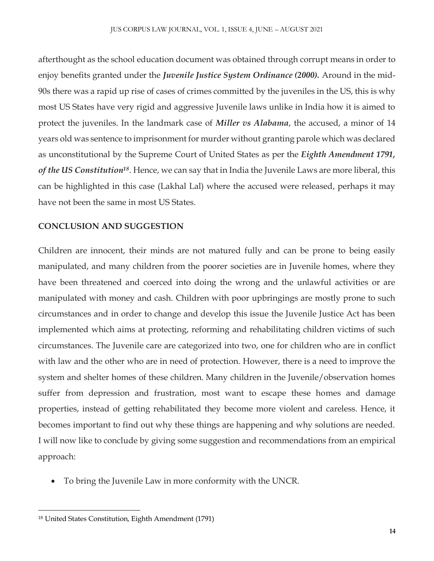afterthought as the school education document was obtained through corrupt means in order to enjoy benefits granted under the *Juvenile Justice System Ordinance (2000).* Around in the mid-90s there was a rapid up rise of cases of crimes committed by the juveniles in the US, this is why most US States have very rigid and aggressive Juvenile laws unlike in India how it is aimed to protect the juveniles. In the landmark case of *Miller vs Alabama*, the accused, a minor of 14 years old was sentence to imprisonment for murder without granting parole which was declared as unconstitutional by the Supreme Court of United States as per the *Eighth Amendment 1791, of the US Constitution<sup>18</sup>*. Hence, we can say that in India the Juvenile Laws are more liberal, this can be highlighted in this case (Lakhal Lal) where the accused were released, perhaps it may have not been the same in most US States.

### **CONCLUSION AND SUGGESTION**

Children are innocent, their minds are not matured fully and can be prone to being easily manipulated, and many children from the poorer societies are in Juvenile homes, where they have been threatened and coerced into doing the wrong and the unlawful activities or are manipulated with money and cash. Children with poor upbringings are mostly prone to such circumstances and in order to change and develop this issue the Juvenile Justice Act has been implemented which aims at protecting, reforming and rehabilitating children victims of such circumstances. The Juvenile care are categorized into two, one for children who are in conflict with law and the other who are in need of protection. However, there is a need to improve the system and shelter homes of these children. Many children in the Juvenile/observation homes suffer from depression and frustration, most want to escape these homes and damage properties, instead of getting rehabilitated they become more violent and careless. Hence, it becomes important to find out why these things are happening and why solutions are needed. I will now like to conclude by giving some suggestion and recommendations from an empirical approach:

To bring the Juvenile Law in more conformity with the UNCR.

 $\overline{\phantom{a}}$ 

<sup>18</sup> United States Constitution, Eighth Amendment (1791)